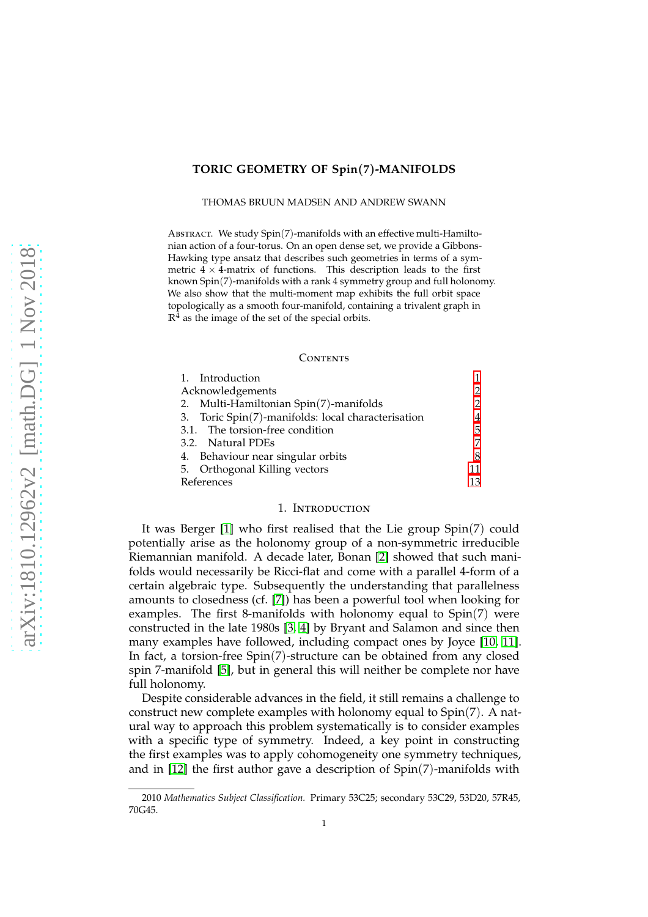# **TORIC GEOMETRY OF Spin**(**7**)**-MANIFOLDS**

THOMAS BRUUN MADSEN AND ANDREW SWANN

ABSTRACT. We study Spin(7)-manifolds with an effective multi-Hamiltonian action of a four-torus. On an open dense set, we provide a Gibbons-Hawking type ansatz that describes such geometries in terms of a symmetric  $4 \times 4$ -matrix of functions. This description leads to the first known Spin(7)-manifolds with a rank 4 symmetry group and full holonomy. We also show that the multi-moment map exhibits the full orbit space topologically as a smooth four-manifold, containing a trivalent graph in  $\mathbb{R}^4$  as the image of the set of the special orbits.

#### **CONTENTS**

| 1. Introduction                                    |    |
|----------------------------------------------------|----|
| Acknowledgements                                   |    |
| 2. Multi-Hamiltonian Spin(7)-manifolds             |    |
| 3. Toric Spin(7)-manifolds: local characterisation | 4  |
| 3.1. The torsion-free condition                    | 5  |
| 3.2. Natural PDEs                                  |    |
| 4. Behaviour near singular orbits                  | 8  |
| 5. Orthogonal Killing vectors                      | 11 |
| References                                         | 13 |

### 1. Introduction

<span id="page-0-0"></span>It was Berger [\[1\]](#page-12-1) who first realised that the Lie group Spin(7) could potentially arise as the holonomy group of a non-symmetric irreducible Riemannian manifold. A decade later, Bonan [\[2\]](#page-12-2) showed that such manifolds would necessarily be Ricci-flat and come with a parallel 4-form of a certain algebraic type. Subsequently the understanding that parallelness amounts to closedness (cf. [\[7\]](#page-12-3)) has been a powerful tool when looking for examples. The first 8-manifolds with holonomy equal to Spin(7) were constructed in the late 1980s [\[3,](#page-12-4) [4\]](#page-12-5) by Bryant and Salamon and since then many examples have followed, including compact ones by Joyce [\[10,](#page-12-6) [11\]](#page-12-7). In fact, a torsion-free Spin(7)-structure can be obtained from any closed spin 7-manifold [\[5\]](#page-12-8), but in general this will neither be complete nor have full holonomy.

Despite considerable advances in the field, it still remains a challenge to construct new complete examples with holonomy equal to Spin(7). A natural way to approach this problem systematically is to consider examples with a specific type of symmetry. Indeed, a key point in constructing the first examples was to apply cohomogeneity one symmetry techniques, and in [\[12\]](#page-13-0) the first author gave a description of Spin(7)-manifolds with

<sup>2010</sup> *Mathematics Subject Classification.* Primary 53C25; secondary 53C29, 53D20, 57R45, 70G45.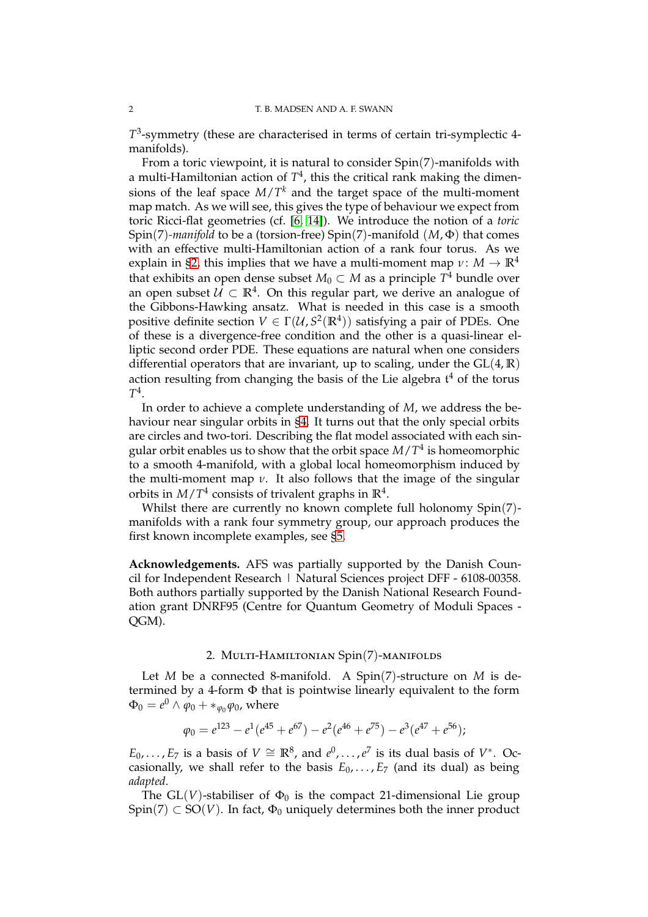*T* 3 -symmetry (these are characterised in terms of certain tri-symplectic 4 manifolds).

From a toric viewpoint, it is natural to consider Spin(7)-manifolds with a multi-Hamiltonian action of  $T^4$ , this the critical rank making the dimensions of the leaf space *M*/*T <sup>k</sup>* and the target space of the multi-moment map match. As we will see, this gives the type of behaviour we expect from toric Ricci-flat geometries (cf. [\[6,](#page-12-9) [14\]](#page-13-1)). We introduce the notion of a *toric* Spin(7)*-manifold* to be a (torsion-free) Spin(7)-manifold (*M*, Φ) that comes with an effective multi-Hamiltonian action of a rank four torus. As we explain in [§2,](#page-1-1) this implies that we have a multi-moment map  $\nu$ :  $M \to \mathbb{R}^4$ that exhibits an open dense subset  $M_0\subset M$  as a principle  $T^4$  bundle over an open subset  $\mathcal{U} \subset \mathbb{R}^4$ . On this regular part, we derive an analogue of the Gibbons-Hawking ansatz. What is needed in this case is a smooth positive definite section  $V \in \Gamma(\mathcal{U}, S^2(\mathbb{R}^4))$  satisfying a pair of PDEs. One of these is a divergence-free condition and the other is a quasi-linear elliptic second order PDE. These equations are natural when one considers differential operators that are invariant, up to scaling, under the GL(4, **R**) action resulting from changing the basis of the Lie algebra  $t^4$  of the torus *T* 4 .

In order to achieve a complete understanding of *M*, we address the behaviour near singular orbits in [§4.](#page-7-0) It turns out that the only special orbits are circles and two-tori. Describing the flat model associated with each singular orbit enables us to show that the orbit space *M*/*T* 4 is homeomorphic to a smooth 4-manifold, with a global local homeomorphism induced by the multi-moment map  $\nu$ . It also follows that the image of the singular orbits in *M*/*T* 4 consists of trivalent graphs in **R**<sup>4</sup> .

Whilst there are currently no known complete full holonomy Spin(7) manifolds with a rank four symmetry group, our approach produces the first known incomplete examples, see [§5.](#page-10-0)

<span id="page-1-0"></span>**Acknowledgements.** AFS was partially supported by the Danish Council for Independent Research | Natural Sciences project DFF - 6108-00358. Both authors partially supported by the Danish National Research Foundation grant DNRF95 (Centre for Quantum Geometry of Moduli Spaces - QGM).

# 2. Multi-Hamiltonian Spin(7)-manifolds

<span id="page-1-1"></span>Let *M* be a connected 8-manifold. A Spin(7)-structure on *M* is determined by a 4-form Φ that is pointwise linearly equivalent to the form  $\Phi_0 = e^0 \wedge \varphi_0 + \ast_{\varphi_0} \varphi_0$ , where

$$
\varphi_0 = e^{123} - e^1(e^{45} + e^{67}) - e^2(e^{46} + e^{75}) - e^3(e^{47} + e^{56});
$$

*E*<sub>0</sub>, ..., *E*<sub>7</sub> is a basis of *V*  $\cong$  **R**<sup>8</sup>, and  $e^0$ , ...,  $e^7$  is its dual basis of *V*<sup>\*</sup>. Oc casionally, we shall refer to the basis  $E_0$ , ...,  $E_7$  (and its dual) as being *adapted*.

The  $GL(V)$ -stabiliser of  $\Phi_0$  is the compact 21-dimensional Lie group  $Spin(7) \subset SO(V)$ . In fact,  $\Phi_0$  uniquely determines both the inner product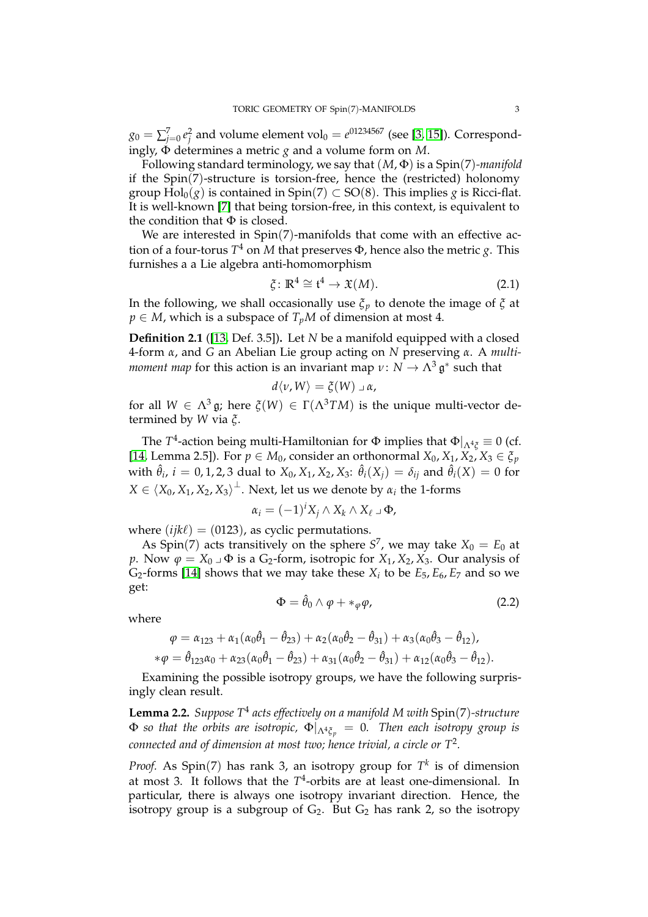$g_0 = \sum_{j=0}^7 e_j^2$  and volume element vol $_0 = e^{01234567}$  (see [\[3,](#page-12-4) [15\]](#page-13-2)). Correspondingly, Φ determines a metric *g* and a volume form on *M*.

Following standard terminology, we say that (*M*, Φ) is a Spin(7)*-manifold* if the Spin(7)-structure is torsion-free, hence the (restricted) holonomy group  $Hol_0(g)$  is contained in  $Spin(7) \subset SO(8)$ . This implies *g* is Ricci-flat. It is well-known [\[7\]](#page-12-3) that being torsion-free, in this context, is equivalent to the condition that  $\Phi$  is closed.

We are interested in Spin(7)-manifolds that come with an effective action of a four-torus *T* <sup>4</sup> on *M* that preserves Φ, hence also the metric *g*. This furnishes a a Lie algebra anti-homomorphism

$$
\xi \colon \mathbb{R}^4 \cong \mathfrak{t}^4 \to \mathfrak{X}(M). \tag{2.1}
$$

In the following, we shall occasionally use  $\zeta_p$  to denote the image of  $\zeta$  at  $p \in M$ , which is a subspace of  $T_pM$  of dimension at most 4.

**Definition 2.1** ([\[13,](#page-13-3) Def. 3.5])**.** Let *N* be a manifold equipped with a closed 4-form *α*, and *G* an Abelian Lie group acting on *N* preserving *α*. A *multimoment map* for this action is an invariant map  $\nu \colon N \to \Lambda^3 \mathfrak{g}^*$  such that

$$
d\langle v,W\rangle=\xi(W)\,\lrcorner\,\alpha,
$$

for all  $W \in \Lambda^3$  g; here  $\zeta(W) \in \Gamma(\Lambda^3 TM)$  is the unique multi-vector determined by *W* via *ξ*.

The *T* 4 -action being multi-Hamiltonian for Φ implies that Φ|Λ4*<sup>ξ</sup>* ≡ 0 (cf. [\[14,](#page-13-1) Lemma 2.5]). For  $p \in M_0$ , consider an orthonormal  $X_0, X_1, X_2, X_3 \in \xi_p$ with  $\hat{\theta}_i$ ,  $i = 0, 1, 2, 3$  dual to  $X_0, X_1, X_2, X_3$ :  $\hat{\theta}_i(X_j) = \delta_{ij}$  and  $\hat{\theta}_i(X) = 0$  for  $X \in \langle X_0, X_1, X_2, X_3 \rangle^\perp$ . Next, let us we denote by  $\alpha_i$  the 1-forms

$$
\alpha_i = (-1)^i X_j \wedge X_k \wedge X_\ell \mathbin{\lrcorner} \Phi,
$$

where  $(ijk\ell) = (0123)$ , as cyclic permutations.

As Spin(7) acts transitively on the sphere  $S^7$ , we may take  $X_0 = E_0$  at *p*. Now  $\varphi = X_0 \cup \Phi$  is a G<sub>2</sub>-form, isotropic for  $X_1, X_2, X_3$ . Our analysis of G<sub>2</sub>-forms [\[14\]](#page-13-1) shows that we may take these  $X_i$  to be  $E_5$ ,  $E_6$ ,  $E_7$  and so we get:

<span id="page-2-0"></span>
$$
\Phi = \hat{\theta}_0 \wedge \varphi + *_{\varphi} \varphi, \tag{2.2}
$$

where

$$
\varphi = \alpha_{123} + \alpha_1(\alpha_0\hat{\theta}_1 - \hat{\theta}_{23}) + \alpha_2(\alpha_0\hat{\theta}_2 - \hat{\theta}_{31}) + \alpha_3(\alpha_0\hat{\theta}_3 - \hat{\theta}_{12}),
$$
  
\n
$$
*\varphi = \hat{\theta}_{123}\alpha_0 + \alpha_{23}(\alpha_0\hat{\theta}_1 - \hat{\theta}_{23}) + \alpha_{31}(\alpha_0\hat{\theta}_2 - \hat{\theta}_{31}) + \alpha_{12}(\alpha_0\hat{\theta}_3 - \hat{\theta}_{12}).
$$

Examining the possible isotropy groups, we have the following surprisingly clean result.

**Lemma 2.2.** *Suppose T*<sup>4</sup> *acts effectively on a manifold M with* Spin(7)*-structure*  $\Phi$  so that the orbits are isotropic,  $\Phi|_{\Lambda^4 \xi_p} = 0$ . Then each isotropy group is *connected and of dimension at most two; hence trivial, a circle or T*<sup>2</sup> *.*

*Proof.* As Spin(7) has rank 3, an isotropy group for  $T<sup>k</sup>$  is of dimension at most 3. It follows that the *T* 4 -orbits are at least one-dimensional. In particular, there is always one isotropy invariant direction. Hence, the isotropy group is a subgroup of  $G_2$ . But  $G_2$  has rank 2, so the isotropy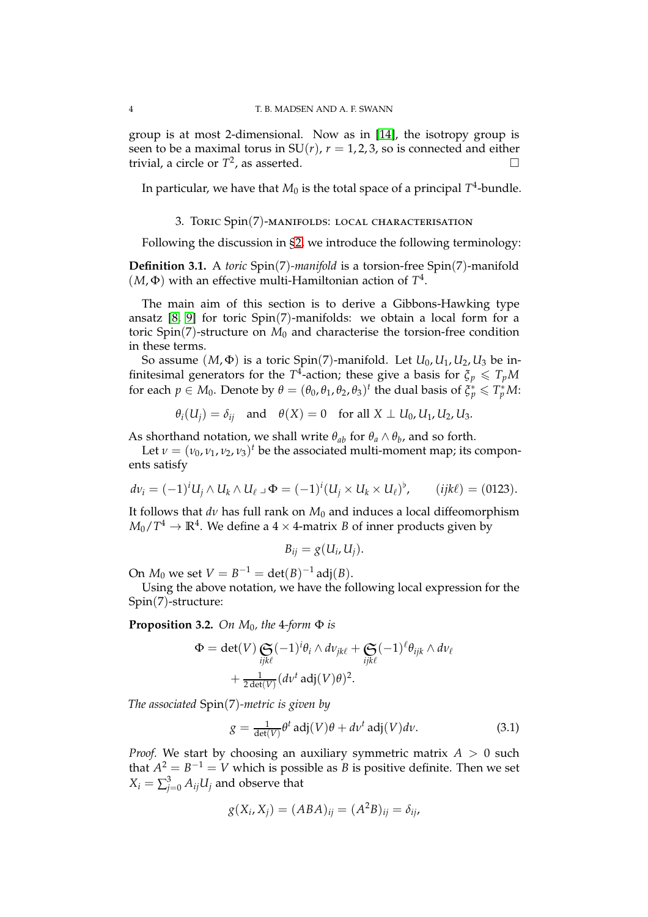group is at most 2-dimensional. Now as in [\[14\]](#page-13-1), the isotropy group is seen to be a maximal torus in  $SU(r)$ ,  $r = 1, 2, 3$ , so is connected and either trivial, a circle or  $T^2$ , as asserted.

<span id="page-3-0"></span>In particular, we have that  $M_0$  is the total space of a principal  $T^4$ -bundle.

## 3. Toric Spin(7)-manifolds: local characterisation

Following the discussion in [§2,](#page-1-1) we introduce the following terminology:

**Definition 3.1.** A *toric* Spin(7)*-manifold* is a torsion-free Spin(7)-manifold  $(M, \Phi)$  with an effective multi-Hamiltonian action of  $T<sup>4</sup>$ .

The main aim of this section is to derive a Gibbons-Hawking type ansatz  $[8, 9]$  $[8, 9]$  for toric Spin(7)-manifolds: we obtain a local form for a toric  $Spin(7)$ -structure on  $M_0$  and characterise the torsion-free condition in these terms.

So assume  $(M, \Phi)$  is a toric Spin(7)-manifold. Let  $U_0, U_1, U_2, U_3$  be infinitesimal generators for the  $T^4$ -action; these give a basis for  $\zeta_p \leqslant T_pM$ for each  $p \in M_0$ . Denote by  $\theta = (\theta_0, \theta_1, \theta_2, \theta_3)^t$  the dual basis of  $\xi_p^* \leqslant T_p^*M$ :

$$
\theta_i(U_j) = \delta_{ij}
$$
 and  $\theta(X) = 0$  for all  $X \perp U_0, U_1, U_2, U_3$ .

As shorthand notation, we shall write  $\theta_{ab}$  for  $\theta_a \wedge \theta_b$ , and so forth.

Let  $\nu = (\nu_0, \nu_1, \nu_2, \nu_3)^t$  be the associated multi-moment map; its components satisfy

$$
dv_i = (-1)^i U_j \wedge U_k \wedge U_\ell \mathbin{\lrcorner} \Phi = (-1)^i (U_j \times U_k \times U_\ell)^{\flat}, \qquad (ijk\ell) = (0123).
$$

It follows that *dν* has full rank on *M*<sup>0</sup> and induces a local diffeomorphism  $M_0/T^4 \rightarrow \mathbb{R}^4.$  We define a  $4\times 4$ -matrix  $B$  of inner products given by

$$
B_{ij}=g(U_i,U_j).
$$

On  $M_0$  we set  $V = B^{-1} = \det(B)^{-1}$  adj $(B)$ .

Using the above notation, we have the following local expression for the Spin(7)-structure:

<span id="page-3-1"></span>**Proposition 3.2.** *On M*<sub>0</sub>*, the* 4*-form*  $\Phi$  *is* 

$$
\Phi = \det(V) \underset{\text{ijk}\ell}{\mathbf{C}} (-1)^{i} \theta_{i} \wedge dv_{jk\ell} + \underset{\text{ijk}\ell}{\mathbf{C}} (-1)^{\ell} \theta_{ijk} \wedge dv_{\ell}
$$

$$
+ \frac{1}{2 \det(V)} (dv^{t} \operatorname{adj}(V) \theta)^{2}.
$$

*The associated* Spin(7)*-metric is given by*

<span id="page-3-2"></span>
$$
g = \frac{1}{\det(V)} \theta^t \operatorname{adj}(V) \theta + d v^t \operatorname{adj}(V) dv.
$$
 (3.1)

*Proof.* We start by choosing an auxiliary symmetric matrix  $A > 0$  such that  $A^2 = B^{-1} = V$  which is possible as *B* is positive definite. Then we set  $X_i = \sum_{j=0}^3 A_{ij} U_j$  and observe that

$$
g(X_i, X_j) = (ABA)_{ij} = (A^2B)_{ij} = \delta_{ij},
$$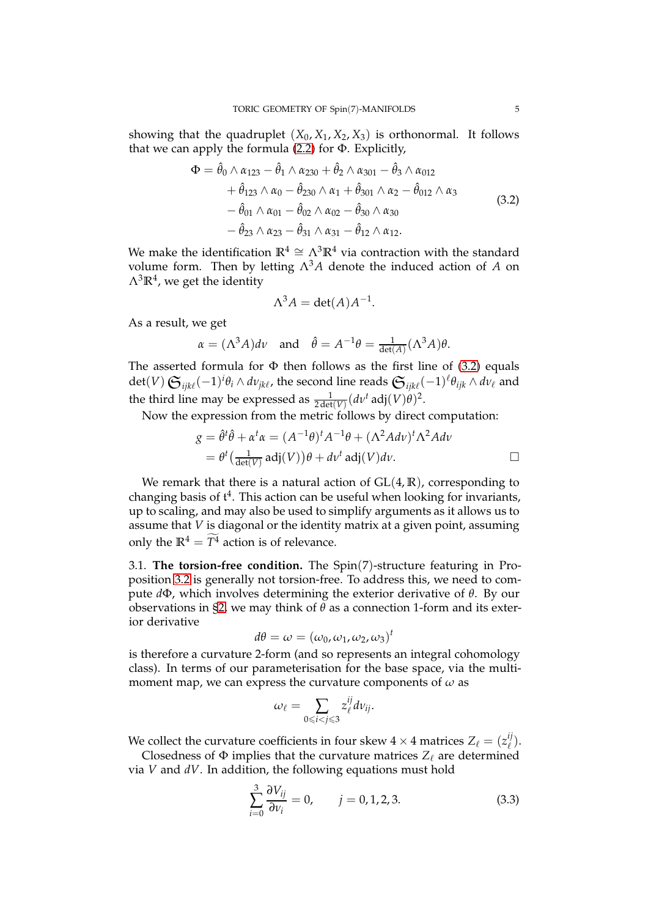showing that the quadruplet  $(X_0, X_1, X_2, X_3)$  is orthonormal. It follows that we can apply the formula  $(2.2)$  for  $\Phi$ . Explicitly,

$$
\Phi = \hat{\theta}_0 \wedge \alpha_{123} - \hat{\theta}_1 \wedge \alpha_{230} + \hat{\theta}_2 \wedge \alpha_{301} - \hat{\theta}_3 \wedge \alpha_{012} \n+ \hat{\theta}_{123} \wedge \alpha_0 - \hat{\theta}_{230} \wedge \alpha_1 + \hat{\theta}_{301} \wedge \alpha_2 - \hat{\theta}_{012} \wedge \alpha_3 \n- \hat{\theta}_{01} \wedge \alpha_{01} - \hat{\theta}_{02} \wedge \alpha_{02} - \hat{\theta}_{30} \wedge \alpha_{30} \n- \hat{\theta}_{23} \wedge \alpha_{23} - \hat{\theta}_{31} \wedge \alpha_{31} - \hat{\theta}_{12} \wedge \alpha_{12}.
$$
\n(3.2)

<span id="page-4-1"></span>We make the identification  $\mathbb{R}^4 \cong \Lambda^3 \mathbb{R}^4$  via contraction with the standard volume form. Then by letting  $\Lambda^3 A$  denote the induced action of *A* on  $\Lambda^3 \mathbb{R}^4$ , we get the identity

$$
\Lambda^3 A = \det(A) A^{-1}.
$$

As a result, we get

$$
\alpha = (\Lambda^3 A) d\nu
$$
 and  $\hat{\theta} = A^{-1}\theta = \frac{1}{\det(A)}(\Lambda^3 A)\theta$ .

The asserted formula for  $\Phi$  then follows as the first line of [\(3.2\)](#page-4-1) equals  $\det(V)$   $\mathfrak{S}_{ijk\ell}(-1)^i\theta_i\wedge d\nu_{jk\ell}$ , the second line reads  $\mathfrak{S}_{ijk\ell}(-1)^{\ell}\theta_{ijk}\wedge d\nu_{\ell}$  and the third line may be expressed as  $\frac{1}{2 \det(V)} (dv^t \text{ adj}(V) \theta)^2$ .

Now the expression from the metric follows by direct computation:

$$
g = \hat{\theta}^t \hat{\theta} + \alpha^t \alpha = (A^{-1}\theta)^t A^{-1} \theta + (\Lambda^2 A d\nu)^t \Lambda^2 A d\nu
$$
  
=  $\theta^t \left( \frac{1}{\det(V)} \operatorname{adj}(V) \right) \theta + d\nu^t \operatorname{adj}(V) d\nu.$ 

We remark that there is a natural action of  $GL(4, \mathbb{R})$ , corresponding to changing basis of  $t^4$ . This action can be useful when looking for invariants, up to scaling, and may also be used to simplify arguments as it allows us to assume that *V* is diagonal or the identity matrix at a given point, assuming only the  $\mathbb{R}^4 = T^4$  action is of relevance.

<span id="page-4-0"></span>3.1. **The torsion-free condition.** The Spin(7)-structure featuring in Proposition [3.2](#page-3-1) is generally not torsion-free. To address this, we need to compute *d*Φ, which involves determining the exterior derivative of *θ*. By our observations in [§2,](#page-1-1) we may think of  $\theta$  as a connection 1-form and its exterior derivative

$$
d\theta = \omega = (\omega_0, \omega_1, \omega_2, \omega_3)^t
$$

is therefore a curvature 2-form (and so represents an integral cohomology class). In terms of our parameterisation for the base space, via the multimoment map, we can express the curvature components of *ω* as

$$
\omega_{\ell}=\sum_{0\leqslant i
$$

We collect the curvature coefficients in four skew  $4 \times 4$  matrices  $Z_\ell = (z^{ij}_\ell).$ 

Closedness of  $\Phi$  implies that the curvature matrices  $Z_{\ell}$  are determined via *V* and *dV*. In addition, the following equations must hold

<span id="page-4-2"></span>
$$
\sum_{i=0}^{3} \frac{\partial V_{ij}}{\partial v_i} = 0, \qquad j = 0, 1, 2, 3. \tag{3.3}
$$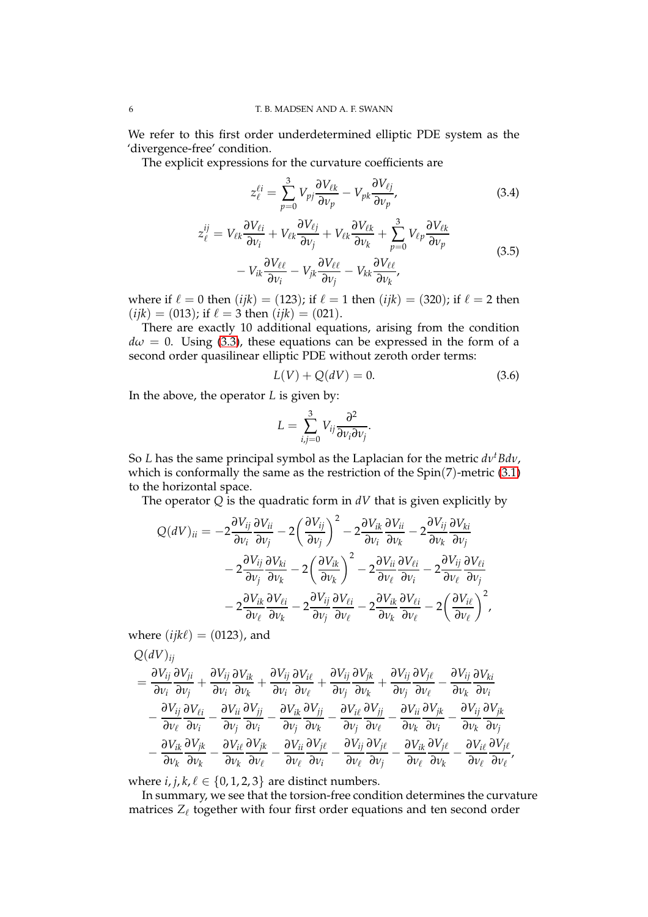We refer to this first order underdetermined elliptic PDE system as the 'divergence-free' condition.

The explicit expressions for the curvature coefficients are

<span id="page-5-0"></span>
$$
z_{\ell}^{\ell i} = \sum_{p=0}^{3} V_{pj} \frac{\partial V_{\ell k}}{\partial v_p} - V_{pk} \frac{\partial V_{\ell j}}{\partial v_p},
$$
(3.4)

$$
z_{\ell}^{ij} = V_{\ell k} \frac{\partial V_{\ell i}}{\partial v_i} + V_{\ell k} \frac{\partial V_{\ell j}}{\partial v_j} + V_{\ell k} \frac{\partial V_{\ell k}}{\partial v_k} + \sum_{p=0}^{3} V_{\ell p} \frac{\partial V_{\ell k}}{\partial v_p} - V_{ik} \frac{\partial V_{\ell \ell}}{\partial v_i} - V_{jk} \frac{\partial V_{\ell \ell}}{\partial v_j} - V_{kk} \frac{\partial V_{\ell \ell}}{\partial v_k},
$$
\n(3.5)

where if  $\ell = 0$  then  $(ijk) = (123)$ ; if  $\ell = 1$  then  $(ijk) = (320)$ ; if  $\ell = 2$  then  $(ijk) = (013)$ ; if  $\ell = 3$  then  $(ijk) = (021)$ .

There are exactly 10 additional equations, arising from the condition  $d\omega = 0$ . Using [\(3.3\)](#page-4-2), these equations can be expressed in the form of a second order quasilinear elliptic PDE without zeroth order terms:

<span id="page-5-2"></span><span id="page-5-1"></span>
$$
L(V) + Q(dV) = 0.
$$
 (3.6)

In the above, the operator *L* is given by:

$$
L=\sum_{i,j=0}^3 V_{ij}\frac{\partial^2}{\partial v_i\partial v_j}.
$$

So *L* has the same principal symbol as the Laplacian for the metric  $dv<sup>t</sup>Bdv$ , which is conformally the same as the restriction of the  $Spin(7)$ -metric  $(3.1)$ to the horizontal space.

The operator  $Q$  is the quadratic form in  $dV$  that is given explicitly by

$$
Q(dV)_{ii} = -2 \frac{\partial V_{ij}}{\partial v_i} \frac{\partial V_{ii}}{\partial v_j} - 2 \left( \frac{\partial V_{ij}}{\partial v_j} \right)^2 - 2 \frac{\partial V_{ik}}{\partial v_i} \frac{\partial V_{ii}}{\partial v_k} - 2 \frac{\partial V_{ij}}{\partial v_k} \frac{\partial V_{ki}}{\partial v_j} - 2 \frac{\partial V_{ij}}{\partial v_j} \frac{\partial V_{ki}}{\partial v_k} - 2 \left( \frac{\partial V_{ik}}{\partial v_k} \right)^2 - 2 \frac{\partial V_{ii}}{\partial v_\ell} \frac{\partial V_{\ell i}}{\partial v_i} - 2 \frac{\partial V_{ij}}{\partial v_\ell} \frac{\partial V_{\ell i}}{\partial v_j} - 2 \frac{\partial V_{ik}}{\partial v_\ell} \frac{\partial V_{\ell i}}{\partial v_k} - 2 \frac{\partial V_{ij}}{\partial v_j} \frac{\partial V_{\ell i}}{\partial v_\ell} - 2 \frac{\partial V_{ik}}{\partial v_k} \frac{\partial V_{\ell i}}{\partial v_\ell} - 2 \left( \frac{\partial V_{i\ell}}{\partial v_\ell} \right)^2,
$$

where  $(ijk\ell) = (0123)$ , and

 $Q(\textit{div})$ 

$$
\begin{split} &\frac{\partial V_{ij}}{\partial v_i}\frac{\partial V_{ji}}{\partial v_j}+\frac{\partial V_{ij}}{\partial v_i}\frac{\partial V_{ik}}{\partial v_k}+\frac{\partial V_{ij}}{\partial v_i}\frac{\partial V_{i\ell}}{\partial v_\ell}+\frac{\partial V_{ij}}{\partial v_j}\frac{\partial V_{jk}}{\partial v_k}+\frac{\partial V_{ij}}{\partial v_j}\frac{\partial V_{j\ell}}{\partial v_\ell}-\frac{\partial V_{ij}}{\partial v_k}\frac{\partial V_{k\ell}}{\partial v_i}\\ &-\frac{\partial V_{ij}}{\partial v_\ell}\frac{\partial V_{\ell i}}{\partial v_i}-\frac{\partial V_{ii}}{\partial v_j}\frac{\partial V_{jj}}{\partial v_i}-\frac{\partial V_{ik}}{\partial v_j}\frac{\partial V_{jj}}{\partial v_k}-\frac{\partial V_{i\ell}}{\partial v_j}\frac{\partial V_{jj}}{\partial v_\ell}-\frac{\partial V_{ii}}{\partial v_k}\frac{\partial V_{jk}}{\partial v_i}-\frac{\partial V_{ij}}{\partial v_k}\frac{\partial V_{jk}}{\partial v_j}\\ &-\frac{\partial V_{ik}}{\partial v_k}\frac{\partial V_{jk}}{\partial v_k}-\frac{\partial V_{i\ell}}{\partial v_k}\frac{\partial V_{jk}}{\partial v_\ell}-\frac{\partial V_{ii}}{\partial v_\ell}\frac{\partial V_{j\ell}}{\partial v_i}-\frac{\partial V_{ij}}{\partial v_\ell}\frac{\partial V_{j\ell}}{\partial v_j}-\frac{\partial V_{ik}}{\partial v_\ell}\frac{\partial V_{j\ell}}{\partial v_k}-\frac{\partial V_{ik}}{\partial v_\ell}\frac{\partial V_{j\ell}}{\partial v_\ell},\end{split}
$$

where  $i, j, k, \ell \in \{0, 1, 2, 3\}$  are distinct numbers.

In summary, we see that the torsion-free condition determines the curvature matrices  $Z_\ell$  together with four first order equations and ten second order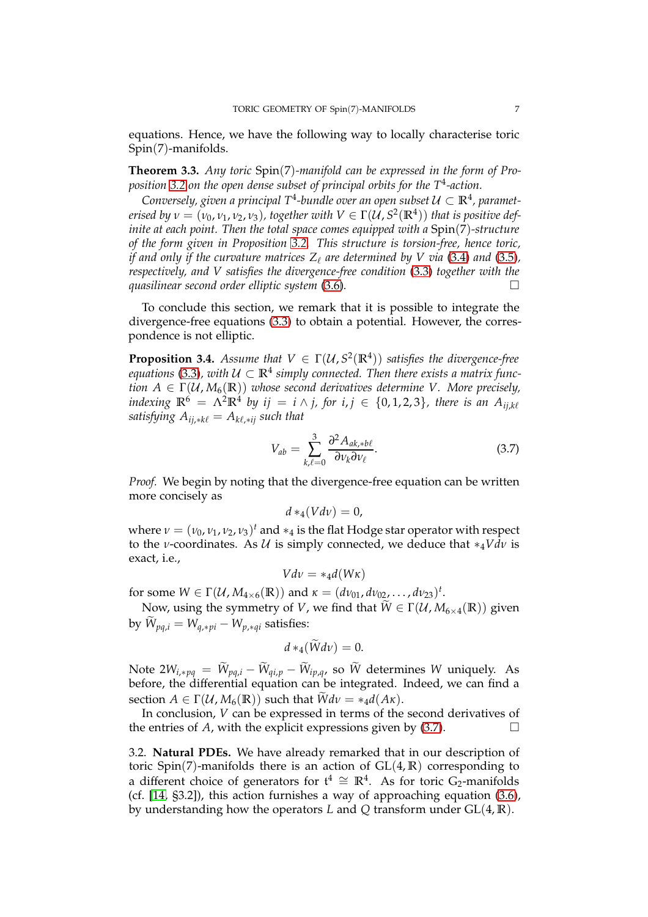equations. Hence, we have the following way to locally characterise toric Spin(7)-manifolds.

**Theorem 3.3.** *Any toric* Spin(7)*-manifold can be expressed in the form of Proposition [3.2](#page-3-1) on the open dense subset of principal orbits for the T*<sup>4</sup> *-action.*

Conversely, given a principal T<sup>4</sup>-bundle over an open subset  $\mathcal{U} \subset \mathbb{R}^4$ , paramet*erised by*  $\nu = (\nu_0, \nu_1, \nu_2, \nu_3)$ , together with  $V \in \Gamma(\mathcal{U}, S^2(\mathbb{R}^4))$  that is positive def*inite at each point. Then the total space comes equipped with a* Spin(7)*-structure of the form given in Proposition [3.2.](#page-3-1) This structure is torsion-free, hence toric, if and only if the curvature matrices*  $Z_\ell$  *are determined by V via* [\(3.4\)](#page-5-0) *and* [\(3.5\)](#page-5-1)*, respectively, and V satisfies the divergence-free condition* [\(3.3\)](#page-4-2) *together with the quasilinear second order elliptic system* [\(3.6\)](#page-5-2)*.*

To conclude this section, we remark that it is possible to integrate the divergence-free equations [\(3.3\)](#page-4-2) to obtain a potential. However, the correspondence is not elliptic.

**Proposition 3.4.** *Assume that*  $V \in \Gamma(\mathcal{U}, S^2(\mathbb{R}^4))$  *satisfies the divergence-free* equations [\(3.3\)](#page-4-2), with  $\mathcal{U} \subset \mathbb{R}^4$  simply connected. Then there exists a matrix func*tion*  $A \in \Gamma(\mathcal{U}, M_6(\mathbb{R}))$  *whose second derivatives determine V. More precisely,*  $i$ ndexing  $\mathbb{R}^6 = \Lambda^2 \mathbb{R}^4$  by  $ij = i \wedge j$ , for  $i, j \in \{0, 1, 2, 3\}$ , there is an  $A_{ij, k\ell}$ *satisfying*  $A_{ij,*k\ell} = A_{k\ell,*ij}$  *such that* 

<span id="page-6-1"></span>
$$
V_{ab} = \sum_{k,\ell=0}^{3} \frac{\partial^2 A_{ak, *b\ell}}{\partial v_k \partial v_\ell}.
$$
 (3.7)

*Proof.* We begin by noting that the divergence-free equation can be written more concisely as

$$
d*_4(Vd\nu)=0,
$$

where  $\nu = (\nu_0, \nu_1, \nu_2, \nu_3)^t$  and  $*_4$  is the flat Hodge star operator with respect to the *ν*-coordinates. As  $U$  is simply connected, we deduce that  $*_4Vdv$  is exact, i.e.,

$$
Vdv = *_4d(W\kappa)
$$

for some  $W \in \Gamma(U, M_{4 \times 6}(\mathbb{R}))$  and  $\kappa = (dv_{01}, dv_{02}, \dots, dv_{23})^t$ .

Now, using the symmetry of *V*, we find that  $\widetilde{W} \in \Gamma(\mathcal{U}, M_{6 \times 4}(\mathbb{R}))$  given by  $W_{pq,i} = W_{q,*pi} - W_{p,*qi}$  satisfies:

$$
d*_4(Wd\nu)=0.
$$

Note  $2W_{i,*pq} = W_{pq,i} - W_{qi,p} - W_{ip,q}$  so *W* determines *W* uniquely. As before, the differential equation can be integrated. Indeed, we can find a section  $A \in \Gamma(\mathcal{U}, M_6(\mathbb{R}))$  such that  $\widetilde{W}dv = *_4 d(A\kappa)$ .

In conclusion, *V* can be expressed in terms of the second derivatives of the entries of *A*, with the explicit expressions given by [\(3.7\)](#page-6-1).

<span id="page-6-0"></span>3.2. **Natural PDEs.** We have already remarked that in our description of toric  $Spin(7)$ -manifolds there is an action of  $GL(4,\mathbb{R})$  corresponding to a different choice of generators for  $t^4 \cong \mathbb{R}^4$ . As for toric G<sub>2</sub>-manifolds (cf. [\[14,](#page-13-1) §3.2]), this action furnishes a way of approaching equation [\(3.6\)](#page-5-2), by understanding how the operators *L* and *Q* transform under GL(4, **R**).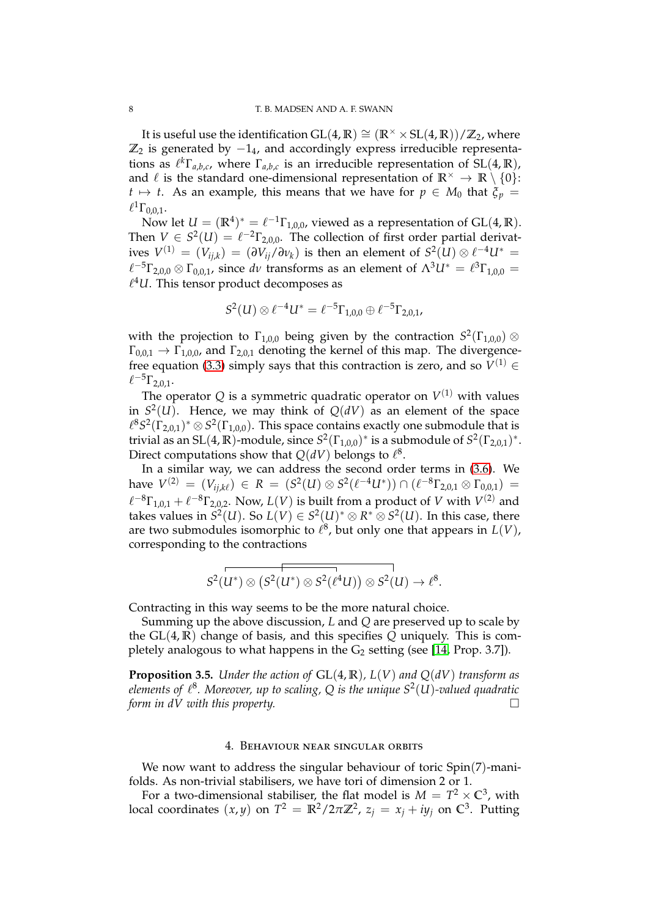It is useful use the identification  $GL(4, \mathbb{R}) \cong (\mathbb{R} \times \times SL(4, \mathbb{R}))/\mathbb{Z}_2$ , where  $\mathbb{Z}_2$  is generated by  $-1_4$ , and accordingly express irreducible representations as  $\ell^k \Gamma_{a,b,c}$ , where  $\Gamma_{a,b,c}$  is an irreducible representation of  $SL(4,\mathbb{R})$ , and  $\ell$  is the standard one-dimensional representation of  $\mathbb{R}^{\times} \to \mathbb{R} \setminus \{0\}$ :  $t \mapsto t$ . As an example, this means that we have for  $p \in M_0$  that  $\xi_p =$  $\ell^1 \Gamma_{0,0,1}.$ 

Now let  $U = (\mathbb{R}^4)^* = \ell^{-1} \Gamma_{1,0,0}$ , viewed as a representation of GL(4,  $\mathbb{R}$ ). Then  $V \in S^2(U) = \ell^{-2} \Gamma_{2,0,0}$ . The collection of first order partial derivatives  $V^{(1)}\,=\, (V_{ij,k})\,=\, (\partial V_{ij}/\partial \nu_k)$  is then an element of  $S^2(U)\otimes \ell^{-4}U^*\,=\,$  $\ell^{-5}\Gamma_{2,0,0}\otimes\Gamma_{0,0,1}$ , since dv transforms as an element of  $\Lambda^{3}U^{*}=\ell^{3}\Gamma_{1,0,0}=$  $\ell^4 U$ . This tensor product decomposes as

$$
S^2(U) \otimes \ell^{-4}U^* = \ell^{-5}\Gamma_{1,0,0} \oplus \ell^{-5}\Gamma_{2,0,1},
$$

with the projection to  $\Gamma_{1,0,0}$  being given by the contraction  $S^2(\Gamma_{1,0,0})$   $\otimes$  $\Gamma_{0,0,1} \rightarrow \Gamma_{1,0,0}$ , and  $\Gamma_{2,0,1}$  denoting the kernel of this map. The divergence-free equation [\(3.3\)](#page-4-2) simply says that this contraction is zero, and so  $V^{(1)}$   $\in$  $\ell^{-5}\Gamma_{2,0,1}.$ 

The operator  $Q$  is a symmetric quadratic operator on  $V^{(1)}$  with values in  $S^2(U)$ . Hence, we may think of  $Q(dV)$  as an element of the space  $\ell^8 S^2(\Gamma_{2,0,1})^* \otimes S^2(\Gamma_{1,0,0})$ . This space contains exactly one submodule that is trivial as an SL(4,  $\mathbb{R}$ )-module, since  $S^2(\Gamma_{1,0,0})^*$  is a submodule of  $S^2(\Gamma_{2,0,1})^*$ . Direct computations show that  $Q(dV)$  belongs to  $\ell^8$ .

In a similar way, we can address the second order terms in [\(3.6\)](#page-5-2). We  $h$ ave  $V^{(2)} = (V_{ij,k\ell}) \in R = (S^2(U) \otimes S^2(\ell^{-4}U^*)) \cap (\ell^{-8} \Gamma_{2,0,1} \otimes \Gamma_{0,0,1}) =$  $\ell^{-8}\Gamma_{1,0,1} + \ell^{-8}\Gamma_{2,0,2}$ . Now,  $L(V)$  is built from a product of *V* with  $V^{(2)}$  and takes values in  $S^2(U)$ . So  $L(V) \in S^2(U)^* \otimes R^* \otimes S^2(U)$ . In this case, there are two submodules isomorphic to  $\ell^8$ , but only one that appears in  $L(V)$ , corresponding to the contractions

$$
\overline{S^2(U^*)\otimes (S^2(U^*)\otimes S^2(\ell^4U))\otimes S^2(U)}\to \ell^8.
$$

Contracting in this way seems to be the more natural choice.

Summing up the above discussion, *L* and *Q* are preserved up to scale by the GL(4, **R**) change of basis, and this specifies *Q* uniquely. This is completely analogous to what happens in the  $G_2$  setting (see [\[14,](#page-13-1) Prop. 3.7]).

**Proposition 3.5.** *Under the action of* GL(4, **R**)*, L*(*V*) *and Q*(*dV*) *transform as elements of* ℓ 8 *. Moreover, up to scaling, Q is the unique S*<sup>2</sup> (*U*)*-valued quadratic form in dV with this property.*

## 4. Behaviour near singular orbits

<span id="page-7-0"></span>We now want to address the singular behaviour of toric Spin(7)-manifolds. As non-trivial stabilisers, we have tori of dimension 2 or 1.

For a two-dimensional stabiliser, the flat model is  $M = T^2 \times \mathbb{C}^3$ , with local coordinates  $(x, y)$  on  $T^2 = \mathbb{R}^2 / 2\pi \mathbb{Z}^2$ ,  $z_j = x_j + iy_j$  on  $\mathbb{C}^3$ . Putting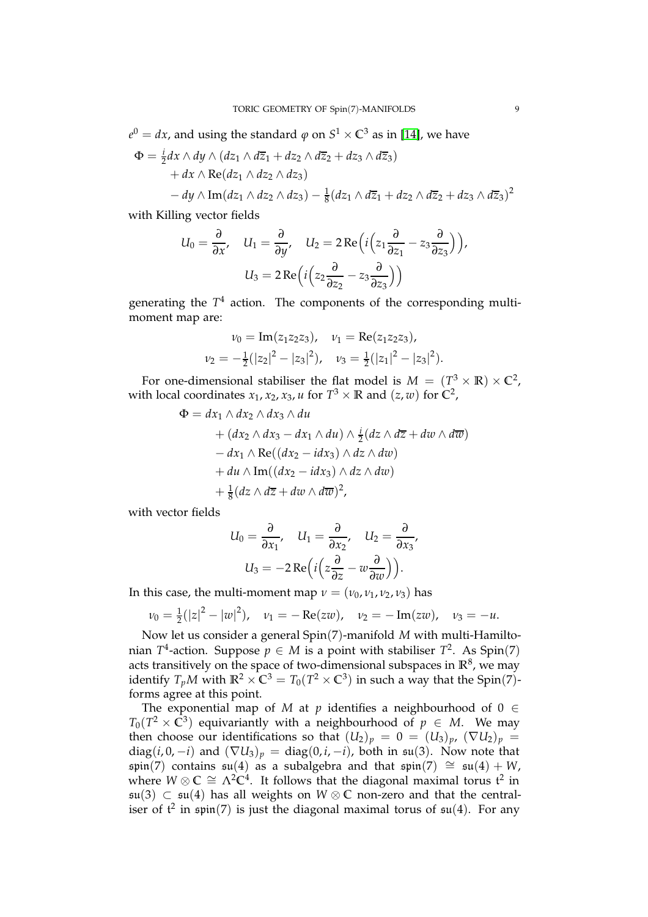$e^{0} = dx$ , and using the standard  $\varphi$  on  $S^{1} \times \mathbb{C}^{3}$  as in [\[14\]](#page-13-1), we have

$$
\Phi = \frac{i}{2} dx \wedge dy \wedge (dz_1 \wedge d\overline{z}_1 + dz_2 \wedge d\overline{z}_2 + dz_3 \wedge d\overline{z}_3)
$$
  
+  $dx \wedge \text{Re}(dz_1 \wedge dz_2 \wedge dz_3)$   
-  $dy \wedge \text{Im}(dz_1 \wedge dz_2 \wedge dz_3) - \frac{1}{8}(dz_1 \wedge d\overline{z}_1 + dz_2 \wedge d\overline{z}_2 + dz_3 \wedge d\overline{z}_3)^2$ 

with Killing vector fields

$$
U_0 = \frac{\partial}{\partial x}, \quad U_1 = \frac{\partial}{\partial y}, \quad U_2 = 2 \operatorname{Re} \left( i \left( z_1 \frac{\partial}{\partial z_1} - z_3 \frac{\partial}{\partial z_3} \right) \right),
$$

$$
U_3 = 2 \operatorname{Re} \left( i \left( z_2 \frac{\partial}{\partial z_2} - z_3 \frac{\partial}{\partial z_3} \right) \right)
$$

generating the *T* <sup>4</sup> action. The components of the corresponding multimoment map are:

$$
\nu_0 = \text{Im}(z_1 z_2 z_3), \quad \nu_1 = \text{Re}(z_1 z_2 z_3),
$$
  

$$
\nu_2 = -\frac{1}{2}(|z_2|^2 - |z_3|^2), \quad \nu_3 = \frac{1}{2}(|z_1|^2 - |z_3|^2).
$$

For one-dimensional stabiliser the flat model is  $M = (T^3 \times \mathbb{R}) \times \mathbb{C}^2$ , with local coordinates  $x_1, x_2, x_3, u$  for  $T^3 \times \mathbb{R}$  and  $(z, w)$  for  $\mathbb{C}^2$ ,

$$
\Phi = dx_1 \wedge dx_2 \wedge dx_3 \wedge du
$$
  
+  $(dx_2 \wedge dx_3 - dx_1 \wedge du) \wedge \frac{i}{2}(dz \wedge d\overline{z} + dw \wedge d\overline{w})$   
-  $dx_1 \wedge \text{Re}((dx_2 - idx_3) \wedge dz \wedge dw)$   
+  $du \wedge \text{Im}((dx_2 - idx_3) \wedge dz \wedge dw)$   
+  $\frac{1}{8}(dz \wedge d\overline{z} + dw \wedge d\overline{w})^2$ ,

with vector fields

$$
U_0 = \frac{\partial}{\partial x_1}, \quad U_1 = \frac{\partial}{\partial x_2}, \quad U_2 = \frac{\partial}{\partial x_3},
$$

$$
U_3 = -2 \operatorname{Re} \left( i \left( z \frac{\partial}{\partial z} - w \frac{\partial}{\partial w} \right) \right).
$$

In this case, the multi-moment map  $\nu = (\nu_0, \nu_1, \nu_2, \nu_3)$  has

$$
v_0 = \frac{1}{2}(|z|^2 - |w|^2), \quad v_1 = -\operatorname{Re}(zw), \quad v_2 = -\operatorname{Im}(zw), \quad v_3 = -u.
$$

Now let us consider a general Spin(7)-manifold *M* with multi-Hamiltonian  $T^4$ -action. Suppose  $p \in M$  is a point with stabiliser  $T^2$ . As Spin(7) acts transitively on the space of two-dimensional subspaces in  $\mathbb{R}^8$ , we may identify  $T_pM$  with  $\mathbb{R}^2 \times \mathbb{C}^3 = T_0(T^2 \times \mathbb{C}^3)$  in such a way that the Spin(7)forms agree at this point.

The exponential map of *M* at *p* identifies a neighbourhood of  $0 \in$  $T_0(T^2 \times \bar{\mathbb{C}}^3)$  equivariantly with a neighbourhood of  $p \in M$ . We may then choose our identifications so that  $(U_2)_p = 0 = (U_3)_p$ ,  $(\nabla U_2)_p =$ diag( $i, 0, -i$ ) and  $(\nabla U_3)_p = \text{diag}(0, i, -i)$ , both in  $\mathfrak{su}(3)$ . Now note that spin(7) contains  $\mathfrak{su}(4)$  as a subalgebra and that  $\mathfrak{spin}(7) \cong \mathfrak{su}(4) + W$ , where  $W \otimes \mathbb{C} \cong \Lambda^2 \mathbb{C}^4$ . It follows that the diagonal maximal torus  $\mathfrak{t}^2$  in su(3) ⊂ su(4) has all weights on *W* ⊗ **C** non-zero and that the centraliser of  $t^2$  in  $\mathfrak{spin}(7)$  is just the diagonal maximal torus of  $\mathfrak{su}(4)$ . For any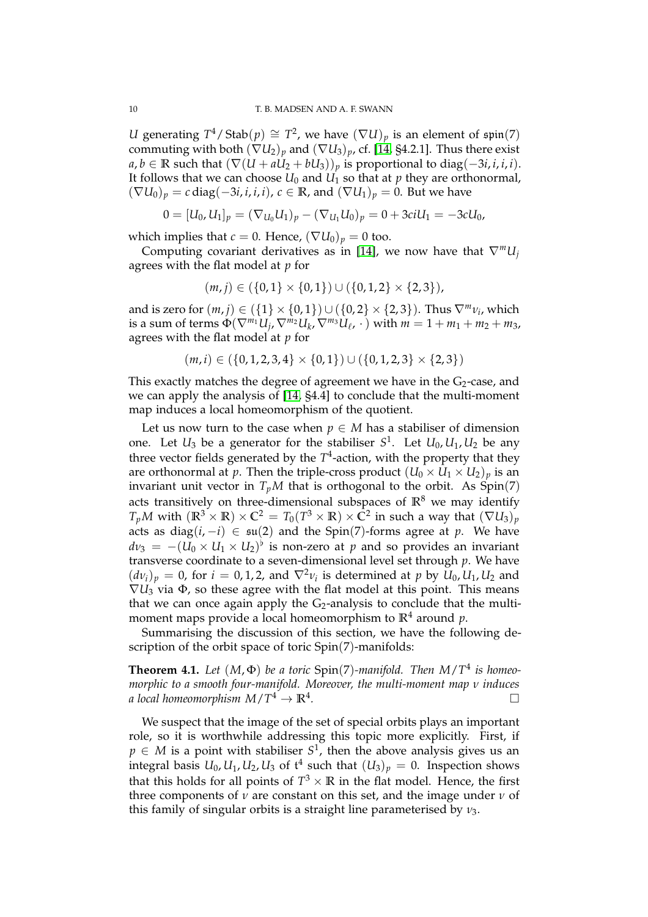*U* generating  $T^4$  / Stab $(p) \cong T^2$ , we have  $(\nabla U)_p$  is an element of  $\mathfrak{spin}(7)$ commuting with both  $(\nabla U_2)_p$  and  $(\nabla U_3)_p$ , cf. [\[14,](#page-13-1) §4.2.1]. Thus there exist *a*, *b* ∈ **R** such that  $(\nabla(U + aU_2 + bU_3))_p$  is proportional to diag(−3*i*, *i*, *i*, *i*). It follows that we can choose  $U_0$  and  $U_1$  so that at  $p$  they are orthonormal,  $(\nabla U_0)_p = c \operatorname{diag}(-3i, i, i, i)$ ,  $c \in \mathbb{R}$ , and  $(\nabla U_1)_p = 0$ . But we have

$$
0 = [U_0, U_1]_p = (\nabla_{U_0} U_1)_p - (\nabla_{U_1} U_0)_p = 0 + 3ciU_1 = -3cU_0,
$$

which implies that *c* = 0. Hence,  $(\nabla U_0)_p = 0$  too.

Computing covariant derivatives as in [\[14\]](#page-13-1), we now have that  $\nabla^m U_i$ agrees with the flat model at *p* for

$$
(m,j) \in (\{0,1\} \times \{0,1\}) \cup (\{0,1,2\} \times \{2,3\}),
$$

and is zero for  $(m, j) \in (\{1\} \times \{0, 1\}) \cup (\{0, 2\} \times \{2, 3\})$ . Thus  $\nabla^m v_i$ , which is a sum of terms  $\Phi(\nabla^{m_1}U_j, \nabla^{m_2}U_k, \nabla^{m_3}U_\ell, \cdot)$  with  $m = 1 + m_1 + m_2 + m_3$ , agrees with the flat model at *p* for

$$
(m,i) \in (\{0,1,2,3,4\} \times \{0,1\}) \cup (\{0,1,2,3\} \times \{2,3\})
$$

This exactly matches the degree of agreement we have in the  $G_2$ -case, and we can apply the analysis of [\[14,](#page-13-1) §4.4] to conclude that the multi-moment map induces a local homeomorphism of the quotient.

Let us now turn to the case when  $p \in M$  has a stabiliser of dimension one. Let  $U_3$  be a generator for the stabiliser  $S^1$ . Let  $U_0, U_1, U_2$  be any three vector fields generated by the  $T^4$ -action, with the property that they are orthonormal at *p*. Then the triple-cross product  $(U_0 \times U_1 \times U_2)_p$  is an invariant unit vector in  $T_pM$  that is orthogonal to the orbit. As  $Spin(7)$ acts transitively on three-dimensional subspaces of  $\mathbb{R}^8$  we may identify  $T_pM$  with  $(\mathbb{R}^3 \times \mathbb{R}) \times \mathbb{C}^2 = T_0(T^3 \times \mathbb{R}) \times \bar{\mathbb{C}}^2$  in such a way that  $(\nabla U_3)_p$ acts as diag( $i, -i$ )  $\in$   $\mathfrak{su}(2)$  and the Spin(7)-forms agree at *p*. We have  $dv_3 = -(\overline{U_0} \times U_1 \times U_2)$ <sup>b</sup> is non-zero at *p* and so provides an invariant transverse coordinate to a seven-dimensional level set through *p*. We have  $(d\nu_i)_p = 0$ , for  $i = 0, 1, 2$ , and  $\nabla^2 \nu_i$  is determined at p by  $U_0, U_1, U_2$  and  $\nabla U_3$  via  $\Phi$ , so these agree with the flat model at this point. This means that we can once again apply the  $G_2$ -analysis to conclude that the multimoment maps provide a local homeomorphism to  $\mathbb{R}^4$  around p.

Summarising the discussion of this section, we have the following description of the orbit space of toric Spin(7)-manifolds:

**Theorem 4.1.** Let  $(M, \Phi)$  be a toric  $Spin(7)$ -manifold. Then  $M/T^4$  is homeo*morphic to a smooth four-manifold. Moreover, the multi-moment map ν induces a local homeomorphism*  $M/T^4 \rightarrow \mathbb{R}^4$ *.*

We suspect that the image of the set of special orbits plays an important role, so it is worthwhile addressing this topic more explicitly. First, if  $p \in M$  is a point with stabiliser  $S^1$ , then the above analysis gives us an integral basis  $U_0, U_1, U_2, U_3$  of  $\mathfrak{t}^4$  such that  $(U_3)_p = 0.$  Inspection shows that this holds for all points of  $T^3 \times \mathbb{R}$  in the flat model. Hence, the first three components of  $\nu$  are constant on this set, and the image under  $\nu$  of this family of singular orbits is a straight line parameterised by *ν*3.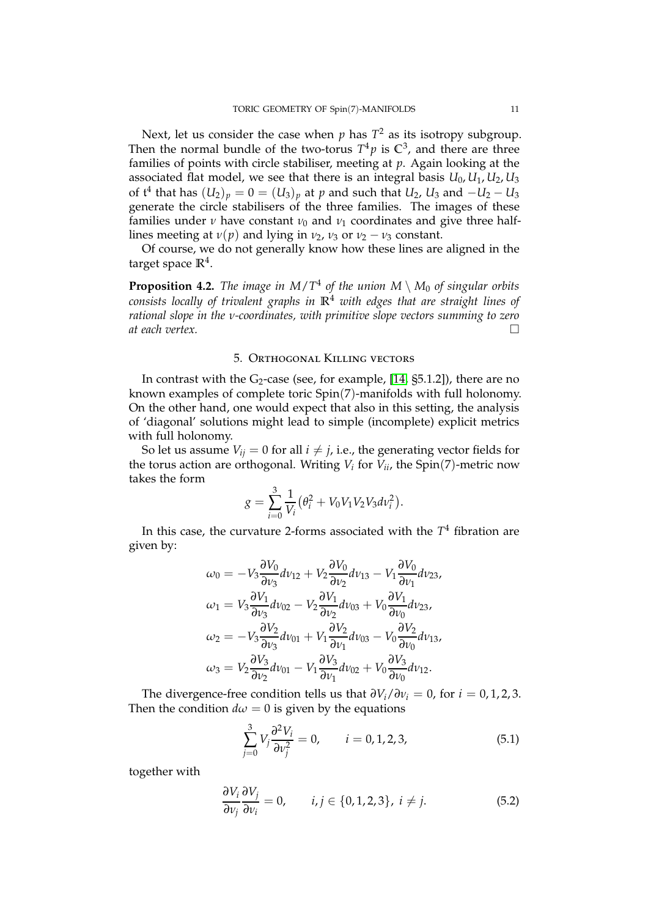Next, let us consider the case when  $p$  has  $T^2$  as its isotropy subgroup. Then the normal bundle of the two-torus  $T^4p$  is  $\mathbb{C}^3$ , and there are three families of points with circle stabiliser, meeting at *p*. Again looking at the associated flat model, we see that there is an integral basis *U*0, *U*1, *U*2, *U*<sup>3</sup> of  $\mathfrak{t}^4$  that has  $(U_2)_p = 0 = (U_3)_p$  at  $p$  and such that  $U_2$ ,  $U_3$  and  $-U_2-U_3$ generate the circle stabilisers of the three families. The images of these families under *ν* have constant  $\nu_0$  and  $\nu_1$  coordinates and give three halflines meeting at  $v(p)$  and lying in  $v_2$ ,  $v_3$  or  $v_2 - v_3$  constant.

Of course, we do not generally know how these lines are aligned in the target space **R**<sup>4</sup> .

**Proposition 4.2.** The image in  $M/T^4$  of the union  $M \setminus M_0$  of singular orbits *consists locally of trivalent graphs in* **R**<sup>4</sup> *with edges that are straight lines of rational slope in the ν-coordinates, with primitive slope vectors summing to zero at each vertex.*

#### 5. Orthogonal Killing vectors

<span id="page-10-0"></span>In contrast with the  $G_2$ -case (see, for example, [\[14,](#page-13-1)  $\S5.1.2$ ]), there are no known examples of complete toric Spin(7)-manifolds with full holonomy. On the other hand, one would expect that also in this setting, the analysis of 'diagonal' solutions might lead to simple (incomplete) explicit metrics with full holonomy.

So let us assume  $V_{ij} = 0$  for all  $i \neq j$ , i.e., the generating vector fields for the torus action are orthogonal. Writing *V<sup>i</sup>* for *Vii*, the Spin(7)-metric now takes the form

$$
g = \sum_{i=0}^{3} \frac{1}{V_i} (\theta_i^2 + V_0 V_1 V_2 V_3 dv_i^2).
$$

In this case, the curvature 2-forms associated with the *T* <sup>4</sup> fibration are given by:

$$
\omega_0 = -V_3 \frac{\partial V_0}{\partial v_3} dv_{12} + V_2 \frac{\partial V_0}{\partial v_2} dv_{13} - V_1 \frac{\partial V_0}{\partial v_1} dv_{23},
$$
  
\n
$$
\omega_1 = V_3 \frac{\partial V_1}{\partial v_3} dv_{02} - V_2 \frac{\partial V_1}{\partial v_2} dv_{03} + V_0 \frac{\partial V_1}{\partial v_0} dv_{23},
$$
  
\n
$$
\omega_2 = -V_3 \frac{\partial V_2}{\partial v_3} dv_{01} + V_1 \frac{\partial V_2}{\partial v_1} dv_{03} - V_0 \frac{\partial V_2}{\partial v_0} dv_{13},
$$
  
\n
$$
\omega_3 = V_2 \frac{\partial V_3}{\partial v_2} dv_{01} - V_1 \frac{\partial V_3}{\partial v_1} dv_{02} + V_0 \frac{\partial V_3}{\partial v_0} dv_{12}.
$$

The divergence-free condition tells us that  $\partial V_i / \partial v_i = 0$ , for *i* = 0, 1, 2, 3. Then the condition  $d\omega = 0$  is given by the equations

<span id="page-10-2"></span>
$$
\sum_{j=0}^{3} V_j \frac{\partial^2 V_i}{\partial v_j^2} = 0, \qquad i = 0, 1, 2, 3,
$$
\n(5.1)

together with

<span id="page-10-1"></span>
$$
\frac{\partial V_i}{\partial v_j} \frac{\partial V_j}{\partial v_i} = 0, \qquad i, j \in \{0, 1, 2, 3\}, \ i \neq j. \tag{5.2}
$$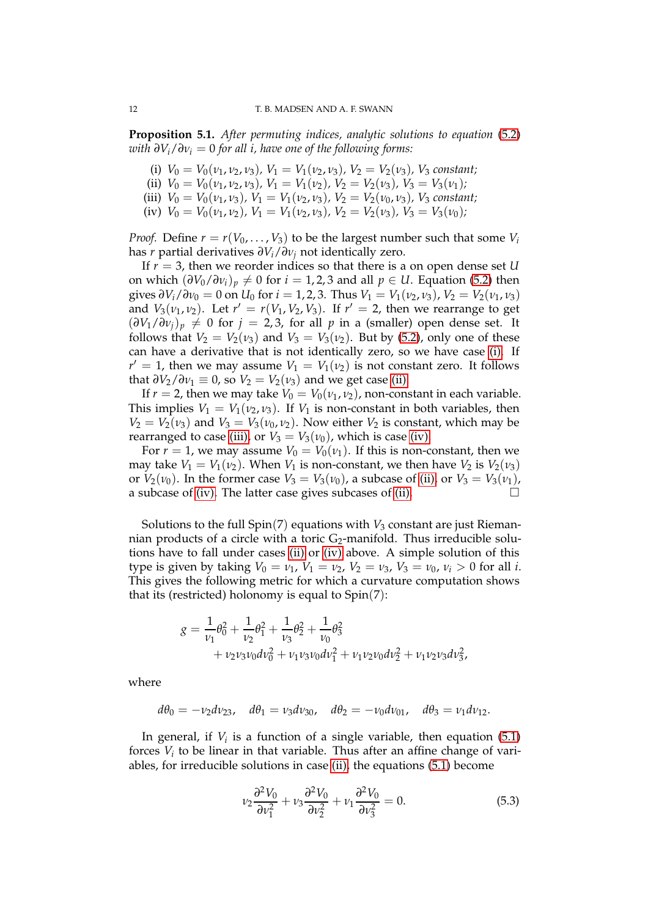<span id="page-11-0"></span>**Proposition 5.1.** *After permuting indices, analytic solutions to equation* [\(5.2\)](#page-10-1) *with*  $\partial V_i / \partial v_i = 0$  *for all i, have one of the following forms:* 

- <span id="page-11-1"></span>(i)  $V_0 = V_0(\nu_1, \nu_2, \nu_3)$ ,  $V_1 = V_1(\nu_2, \nu_3)$ ,  $V_2 = V_2(\nu_3)$ ,  $V_3$  constant;
- <span id="page-11-2"></span>(ii)  $V_0 = V_0(\nu_1, \nu_2, \nu_3)$ ,  $V_1 = V_1(\nu_2)$ ,  $V_2 = V_2(\nu_3)$ ,  $V_3 = V_3(\nu_1)$ ;
- <span id="page-11-3"></span>(iii)  $V_0 = V_0(\nu_1, \nu_3)$ ,  $V_1 = V_1(\nu_2, \nu_3)$ ,  $V_2 = V_2(\nu_0, \nu_3)$ ,  $V_3$  constant;
- (iv)  $V_0 = V_0(\nu_1, \nu_2)$ ,  $V_1 = V_1(\nu_2, \nu_3)$ ,  $V_2 = V_2(\nu_3)$ ,  $V_3 = V_3(\nu_0)$ ;

*Proof.* Define  $r = r(V_0, \ldots, V_3)$  to be the largest number such that some  $V_i$ has *r* partial derivatives *∂Vi*/*∂ν<sup>j</sup>* not identically zero.

If *r* = 3, then we reorder indices so that there is a on open dense set *U* on which  $(\partial V_0/\partial v_i)_p \neq 0$  for  $i = 1, 2, 3$  and all  $p \in U$ . Equation [\(5.2\)](#page-10-1) then gives  $\partial V_i/\partial v_0 = 0$  on  $U_0$  for  $i = 1, 2, 3$ . Thus  $V_1 = V_1(v_2, v_3)$ ,  $V_2 = V_2(v_1, v_3)$ and  $V_3(\nu_1, \nu_2)$ . Let  $r' = r(V_1, V_2, V_3)$ . If  $r' = 2$ , then we rearrange to get  $(\partial V_1/\partial v_j)_p \neq 0$  for  $j = 2, 3$ , for all p in a (smaller) open dense set. It follows that  $V_2 = V_2(v_3)$  and  $V_3 = V_3(v_2)$ . But by [\(5.2\)](#page-10-1), only one of these can have a derivative that is not identically zero, so we have case [\(i\).](#page-11-0) If  $r' = 1$ , then we may assume  $V_1 = V_1(v_2)$  is not constant zero. It follows that  $\partial V_2 / \partial v_1 \equiv 0$ , so  $V_2 = V_2(v_3)$  and we get case [\(ii\).](#page-11-1)

If  $r = 2$ , then we may take  $V_0 = V_0(v_1, v_2)$ , non-constant in each variable. This implies  $V_1 = V_1(v_2, v_3)$ . If  $V_1$  is non-constant in both variables, then  $V_2 = V_2(v_3)$  and  $V_3 = V_3(v_0, v_2)$ . Now either  $V_2$  is constant, which may be rearranged to case [\(iii\),](#page-11-2) or  $V_3 = V_3(v_0)$ , which is case [\(iv\).](#page-11-3)

For  $r = 1$ , we may assume  $V_0 = V_0(v_1)$ . If this is non-constant, then we may take  $V_1 = V_1(v_2)$ . When  $V_1$  is non-constant, we then have  $V_2$  is  $V_2(v_3)$ or  $V_2(v_0)$ . In the former case  $V_3 = V_3(v_0)$ , a subcase of [\(ii\),](#page-11-1) or  $V_3 = V_3(v_1)$ , a subcase of (iv) The latter case gives subcases of (ii) a subcase of [\(iv\).](#page-11-3) The latter case gives subcases of [\(ii\).](#page-11-1)

Solutions to the full  $Spin(7)$  equations with  $V_3$  constant are just Riemannian products of a circle with a toric  $G_2$ -manifold. Thus irreducible solutions have to fall under cases [\(ii\)](#page-11-1) or [\(iv\)](#page-11-3) above. A simple solution of this type is given by taking  $V_0 = v_1$ ,  $V_1 = v_2$ ,  $V_2 = v_3$ ,  $V_3 = v_0$ ,  $v_i > 0$  for all *i*. This gives the following metric for which a curvature computation shows that its (restricted) holonomy is equal to Spin(7):

$$
g = \frac{1}{\nu_1} \theta_0^2 + \frac{1}{\nu_2} \theta_1^2 + \frac{1}{\nu_3} \theta_2^2 + \frac{1}{\nu_0} \theta_3^2
$$
  
+  $\nu_2 \nu_3 \nu_0 d\nu_0^2 + \nu_1 \nu_3 \nu_0 d\nu_1^2 + \nu_1 \nu_2 \nu_0 d\nu_2^2 + \nu_1 \nu_2 \nu_3 d\nu_3^2$ ,

where

$$
d\theta_0 = -\nu_2 d\nu_{23}
$$
,  $d\theta_1 = \nu_3 d\nu_{30}$ ,  $d\theta_2 = -\nu_0 d\nu_{01}$ ,  $d\theta_3 = \nu_1 d\nu_{12}$ .

In general, if  $V_i$  is a function of a single variable, then equation  $(5.1)$ forces *V<sup>i</sup>* to be linear in that variable. Thus after an affine change of variables, for irreducible solutions in case [\(ii\),](#page-11-1) the equations [\(5.1\)](#page-10-2) become

$$
\nu_2 \frac{\partial^2 V_0}{\partial \nu_1^2} + \nu_3 \frac{\partial^2 V_0}{\partial \nu_2^2} + \nu_1 \frac{\partial^2 V_0}{\partial \nu_3^2} = 0.
$$
 (5.3)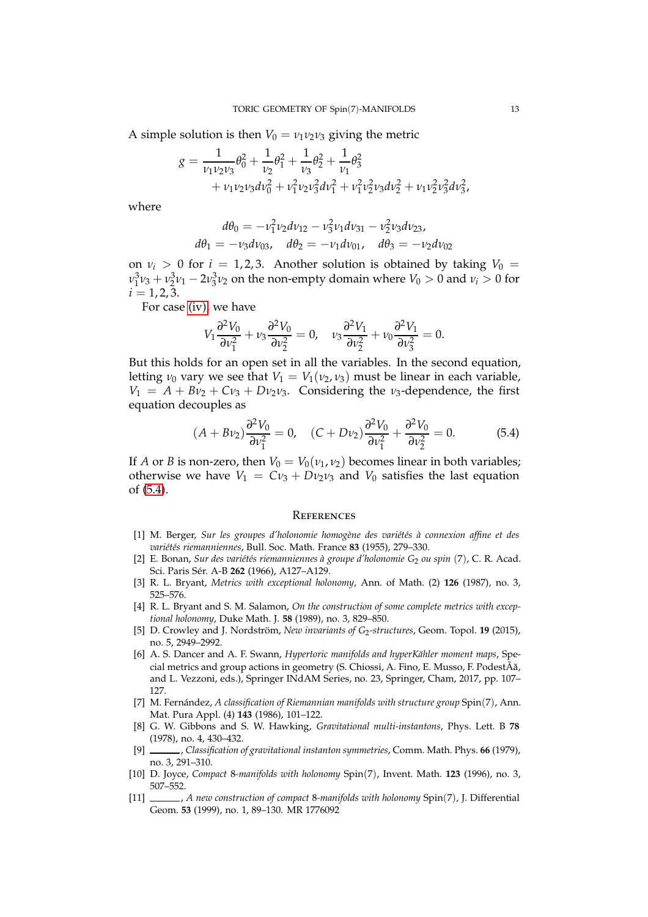A simple solution is then  $V_0 = v_1 v_2 v_3$  giving the metric

$$
g = \frac{1}{\nu_1 \nu_2 \nu_3} \theta_0^2 + \frac{1}{\nu_2} \theta_1^2 + \frac{1}{\nu_3} \theta_2^2 + \frac{1}{\nu_1} \theta_3^2 + \nu_1 \nu_2 \nu_3 d\nu_0^2 + \nu_1^2 \nu_2 \nu_3^2 d\nu_1^2 + \nu_1^2 \nu_2^2 \nu_3 d\nu_2^2 + \nu_1 \nu_2^2 \nu_3^2 d\nu_3^2,
$$

where

$$
d\theta_0 = -v_1^2 v_2 dv_{12} - v_3^2 v_1 dv_{31} - v_2^2 v_3 dv_{23},
$$
  

$$
d\theta_1 = -v_3 dv_{03}, \quad d\theta_2 = -v_1 dv_{01}, \quad d\theta_3 = -v_2 dv_{02}
$$

on  $\nu_i > 0$  for  $i = 1, 2, 3$ . Another solution is obtained by taking  $V_0 =$ *ν*<sub>1</sub><sup>2</sup>*ν*<sub>3</sub> + *ν*<sub>2</sub><sup>2</sup>*ν*<sub>1</sub> − 2*ν*<sub>3</sub><sup>2</sup>*γ*<sub>2</sub> on the non-empty domain where *V*<sub>0</sub> > 0 and *νi* > 0 for  $i = 1, 2, 3$ .

For case [\(iv\),](#page-11-3) we have

$$
V_1 \frac{\partial^2 V_0}{\partial v_1^2} + v_3 \frac{\partial^2 V_0}{\partial v_2^2} = 0, \quad v_3 \frac{\partial^2 V_1}{\partial v_2^2} + v_0 \frac{\partial^2 V_1}{\partial v_3^2} = 0.
$$

But this holds for an open set in all the variables. In the second equation, letting  $\nu_0$  vary we see that  $V_1 = V_1(\nu_2, \nu_3)$  must be linear in each variable,  $V_1 = A + Bv_2 + Cv_3 + Dv_2v_3$ . Considering the *v*<sub>3</sub>-dependence, the first equation decouples as

<span id="page-12-12"></span>
$$
(A + B\nu_2)\frac{\partial^2 V_0}{\partial \nu_1^2} = 0, \quad (C + D\nu_2)\frac{\partial^2 V_0}{\partial \nu_1^2} + \frac{\partial^2 V_0}{\partial \nu_2^2} = 0. \tag{5.4}
$$

If *A* or *B* is non-zero, then  $V_0 = V_0(v_1, v_2)$  becomes linear in both variables; otherwise we have  $V_1 = Cv_3 + Dv_2v_3$  and  $V_0$  satisfies the last equation of [\(5.4\)](#page-12-12).

#### <span id="page-12-0"></span>**REFERENCES**

- <span id="page-12-1"></span>[1] M. Berger, *Sur les groupes d'holonomie homogène des variétés à connexion affine et des variétés riemanniennes*, Bull. Soc. Math. France **83** (1955), 279–330.
- <span id="page-12-2"></span>[2] E. Bonan, *Sur des variétés riemanniennes à groupe d'holonomie G*<sup>2</sup> *ou spin* (7), C. R. Acad. Sci. Paris Sér. A-B **262** (1966), A127–A129.
- <span id="page-12-5"></span><span id="page-12-4"></span>[3] R. L. Bryant, *Metrics with exceptional holonomy*, Ann. of Math. (2) **126** (1987), no. 3, 525–576.
- [4] R. L. Bryant and S. M. Salamon, *On the construction of some complete metrics with exceptional holonomy*, Duke Math. J. **58** (1989), no. 3, 829–850.
- <span id="page-12-8"></span>[5] D. Crowley and J. Nordström, *New invariants of G*<sub>2</sub>-structures, Geom. Topol. **19** (2015), no. 5, 2949–2992.
- <span id="page-12-9"></span>[6] A. S. Dancer and A. F. Swann, *Hypertoric manifolds and hyperKähler moment maps*, Special metrics and group actions in geometry (S. Chiossi, A. Fino, E. Musso, F. PodestÃă, and L. Vezzoni, eds.), Springer INdAM Series, no. 23, Springer, Cham, 2017, pp. 107– 127.
- <span id="page-12-3"></span>[7] M. Fernández, *A classification of Riemannian manifolds with structure group* Spin(7), Ann. Mat. Pura Appl. (4) **143** (1986), 101–122.
- <span id="page-12-10"></span>[8] G. W. Gibbons and S. W. Hawking, *Gravitational multi-instantons*, Phys. Lett. B **78** (1978), no. 4, 430–432.
- <span id="page-12-11"></span>[9] , *Classification of gravitational instanton symmetries*, Comm. Math. Phys. **66** (1979), no. 3, 291–310.
- <span id="page-12-6"></span>[10] D. Joyce, *Compact* 8*-manifolds with holonomy* Spin(7), Invent. Math. **123** (1996), no. 3, 507–552.
- <span id="page-12-7"></span>[11] , *A new construction of compact* 8*-manifolds with holonomy* Spin(7), J. Differential Geom. **53** (1999), no. 1, 89–130. MR 1776092